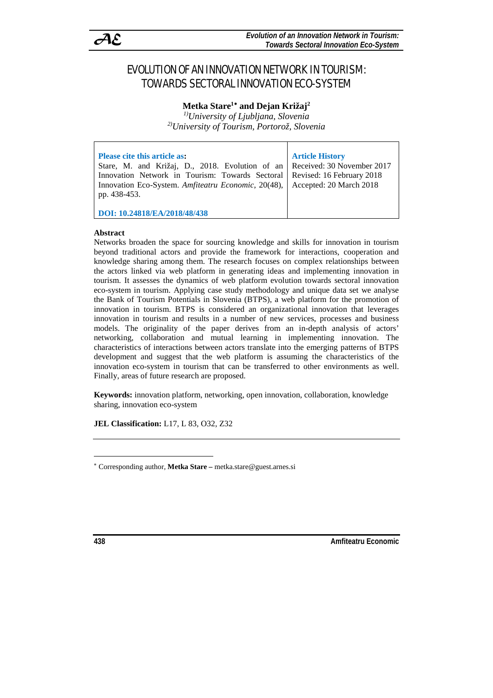

# EVOLUTION OF AN INNOVATION NETWORK IN TOURISM: TOWARDS SECTORAL INNOVATION ECO-SYSTEM

**Metka Stare1**[∗](#page-0-0) **and Dejan Križaj2**

*1)University of Ljubljana, Slovenia 2)University of Tourism, Portorož, Slovenia* 

| <b>Please cite this article as:</b>                                           | <b>Article History</b> |
|-------------------------------------------------------------------------------|------------------------|
| Stare, M. and Križaj, D., 2018. Evolution of an Received: 30 November 2017    |                        |
| Innovation Network in Tourism: Towards Sectoral   Revised: 16 February 2018   |                        |
| Innovation Eco-System. Amfiteatru Economic, 20(48),   Accepted: 20 March 2018 |                        |
| pp. 438-453.                                                                  |                        |
|                                                                               |                        |

**DOI: 10.24818/EA/2018/48/438**

## **Abstract**

Networks broaden the space for sourcing knowledge and skills for innovation in tourism beyond traditional actors and provide the framework for interactions, cooperation and knowledge sharing among them. The research focuses on complex relationships between the actors linked via web platform in generating ideas and implementing innovation in tourism. It assesses the dynamics of web platform evolution towards sectoral innovation eco-system in tourism. Applying case study methodology and unique data set we analyse the Bank of Tourism Potentials in Slovenia (BTPS), a web platform for the promotion of innovation in tourism. BTPS is considered an organizational innovation that leverages innovation in tourism and results in a number of new services, processes and business models. The originality of the paper derives from an in-depth analysis of actors' networking, collaboration and mutual learning in implementing innovation. The characteristics of interactions between actors translate into the emerging patterns of BTPS development and suggest that the web platform is assuming the characteristics of the innovation eco-system in tourism that can be transferred to other environments as well. Finally, areas of future research are proposed.

**Keywords:** innovation platform, networking, open innovation, collaboration, knowledge sharing, innovation eco-system

**JEL Classification:** L17, L 83, O32, Z32

**438 Amfiteatru Economic**

 $\overline{a}$ 

<span id="page-0-0"></span><sup>∗</sup> Corresponding author, **Metka Stare –** metka.stare@guest.arnes.si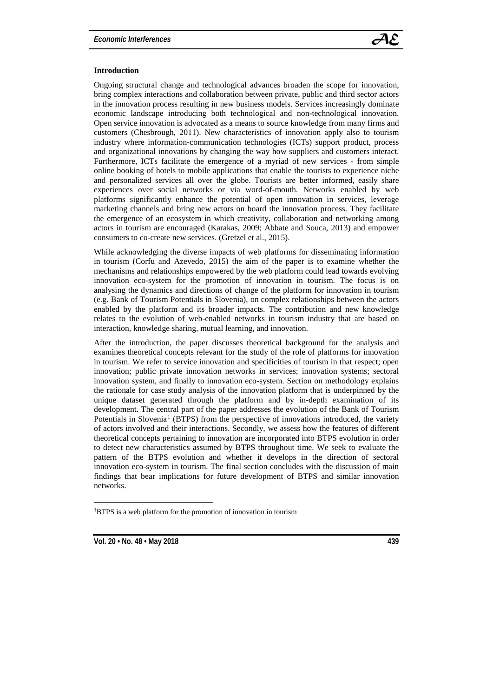

# **Introduction**

Ongoing structural change and technological advances broaden the scope for innovation, bring complex interactions and collaboration between private, public and third sector actors in the innovation process resulting in new business models. Services increasingly dominate economic landscape introducing both technological and non-technological innovation. Open service innovation is advocated as a means to source knowledge from many firms and customers (Chesbrough, 2011). New characteristics of innovation apply also to tourism industry where information-communication technologies (ICTs) support product, process and organizational innovations by changing the way how suppliers and customers interact. Furthermore, ICTs facilitate the emergence of a myriad of new services - from simple online booking of hotels to mobile applications that enable the tourists to experience niche and personalized services all over the globe. Tourists are better informed, easily share experiences over social networks or via word-of-mouth. Networks enabled by web platforms significantly enhance the potential of open innovation in services, leverage marketing channels and bring new actors on board the innovation process. They facilitate the emergence of an ecosystem in which creativity, collaboration and networking among actors in tourism are encouraged (Karakas, 2009; Abbate and Souca, 2013) and empower consumers to co-create new services. (Gretzel et al., 2015).

While acknowledging the diverse impacts of web platforms for disseminating information in tourism (Corfu and Azevedo, 2015) the aim of the paper is to examine whether the mechanisms and relationships empowered by the web platform could lead towards evolving innovation eco-system for the promotion of innovation in tourism. The focus is on analysing the dynamics and directions of change of the platform for innovation in tourism (e.g. Bank of Tourism Potentials in Slovenia), on complex relationships between the actors enabled by the platform and its broader impacts. The contribution and new knowledge relates to the evolution of web-enabled networks in tourism industry that are based on interaction, knowledge sharing, mutual learning, and innovation.

After the introduction, the paper discusses theoretical background for the analysis and examines theoretical concepts relevant for the study of the role of platforms for innovation in tourism. We refer to service innovation and specificities of tourism in that respect; open innovation; public private innovation networks in services; innovation systems; sectoral innovation system, and finally to innovation eco-system. Section on methodology explains the rationale for case study analysis of the innovation platform that is underpinned by the unique dataset generated through the platform and by in-depth examination of its development. The central part of the paper addresses the evolution of the Bank of Tourism Potentials in Slovenia<sup>[1](#page-1-0)</sup> (BTPS) from the perspective of innovations introduced, the variety of actors involved and their interactions. Secondly, we assess how the features of different theoretical concepts pertaining to innovation are incorporated into BTPS evolution in order to detect new characteristics assumed by BTPS throughout time. We seek to evaluate the pattern of the BTPS evolution and whether it develops in the direction of sectoral innovation eco-system in tourism. The final section concludes with the discussion of main findings that bear implications for future development of BTPS and similar innovation networks.

<span id="page-1-0"></span> $\frac{1}{1}$ <sup>1</sup>BTPS is a web platform for the promotion of innovation in tourism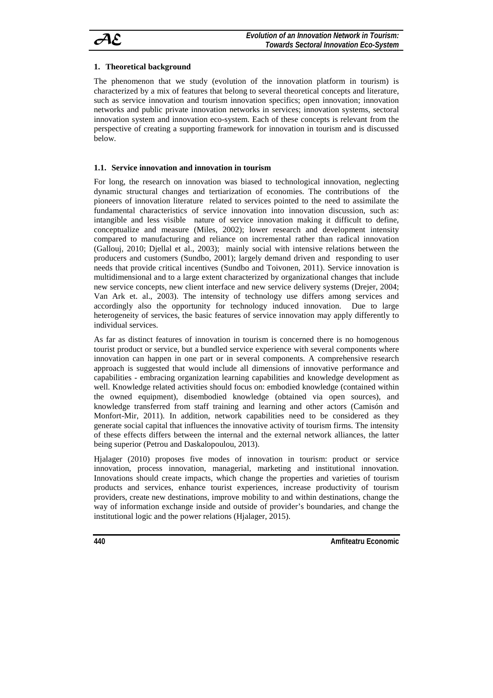

# **1. Theoretical background**

The phenomenon that we study (evolution of the innovation platform in tourism) is characterized by a mix of features that belong to several theoretical concepts and literature, such as service innovation and tourism innovation specifics; open innovation; innovation networks and public private innovation networks in services; innovation systems, sectoral innovation system and innovation eco-system. Each of these concepts is relevant from the perspective of creating a supporting framework for innovation in tourism and is discussed below.

## **1.1. Service innovation and innovation in tourism**

For long, the research on innovation was biased to technological innovation, neglecting dynamic structural changes and tertiarization of economies. The contributions of the pioneers of innovation literature related to services pointed to the need to assimilate the fundamental characteristics of service innovation into innovation discussion, such as: intangible and less visible nature of service innovation making it difficult to define, conceptualize and measure (Miles, 2002); lower research and development intensity compared to manufacturing and reliance on incremental rather than radical innovation (Gallouj, 2010; Djellal et al., 2003); mainly social with intensive relations between the producers and customers (Sundbo, 2001); largely demand driven and responding to user needs that provide critical incentives (Sundbo and Toivonen, 2011). Service innovation is multidimensional and to a large extent characterized by organizational changes that include new service concepts, new client interface and new service delivery systems (Drejer, 2004; Van Ark et. al., 2003). The intensity of technology use differs among services and accordingly also the opportunity for technology induced innovation. Due to large heterogeneity of services, the basic features of service innovation may apply differently to individual services.

As far as distinct features of innovation in tourism is concerned there is no homogenous tourist product or service, but a bundled service experience with several components where innovation can happen in one part or in several components. A comprehensive research approach is suggested that would include all dimensions of innovative performance and capabilities - embracing organization learning capabilities and knowledge development as well. Knowledge related activities should focus on: embodied knowledge (contained within the owned equipment), disembodied knowledge (obtained via open sources), and knowledge transferred from staff training and learning and other actors (Camisón and Monfort-Mir, 2011). In addition, network capabilities need to be considered as they generate social capital that influences the innovative activity of tourism firms. The intensity of these effects differs between the internal and the external network alliances, the latter being superior (Petrou and Daskalopoulou, 2013).

Hjalager (2010) proposes five modes of innovation in tourism: product or service innovation, process innovation, managerial, marketing and institutional innovation. Innovations should create impacts, which change the properties and varieties of tourism products and services, enhance tourist experiences, increase productivity of tourism providers, create new destinations, improve mobility to and within destinations, change the way of information exchange inside and outside of provider's boundaries, and change the institutional logic and the power relations (Hjalager, 2015).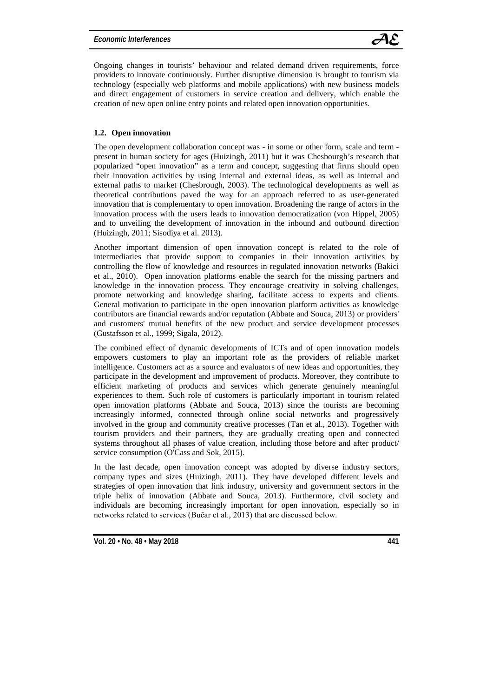

Ongoing changes in tourists' behaviour and related demand driven requirements, force providers to innovate continuously. Further disruptive dimension is brought to tourism via technology (especially web platforms and mobile applications) with new business models and direct engagement of customers in service creation and delivery, which enable the creation of new open online entry points and related open innovation opportunities.

## **1.2. Open innovation**

The open development collaboration concept was - in some or other form, scale and term present in human society for ages (Huizingh, 2011) but it was Chesbourgh's research that popularized "open innovation" as a term and concept, suggesting that firms should open their innovation activities by using internal and external ideas, as well as internal and external paths to market (Chesbrough, 2003). The technological developments as well as theoretical contributions paved the way for an approach referred to as user-generated innovation that is complementary to open innovation. Broadening the range of actors in the innovation process with the users leads to innovation democratization (von Hippel, 2005) and to unveiling the development of innovation in the inbound and outbound direction (Huizingh, 2011; Sisodiya et al. 2013).

Another important dimension of open innovation concept is related to the role of intermediaries that provide support to companies in their innovation activities by controlling the flow of knowledge and resources in regulated innovation networks (Bakici et al., 2010). Open innovation platforms enable the search for the missing partners and knowledge in the innovation process. They encourage creativity in solving challenges, promote networking and knowledge sharing, facilitate access to experts and clients. General motivation to participate in the open innovation platform activities as knowledge contributors are financial rewards and/or reputation (Abbate and Souca, 2013) or providers' and customers' mutual benefits of the new product and service development processes (Gustafsson et al., 1999; Sigala, 2012).

The combined effect of dynamic developments of ICTs and of open innovation models empowers customers to play an important role as the providers of reliable market intelligence. Customers act as a source and evaluators of new ideas and opportunities, they participate in the development and improvement of products. Moreover, they contribute to efficient marketing of products and services which generate genuinely meaningful experiences to them. Such role of customers is particularly important in tourism related open innovation platforms (Abbate and Souca, 2013) since the tourists are becoming increasingly informed, connected through online social networks and progressively involved in the group and community creative processes (Tan et al., 2013). Together with tourism providers and their partners, they are gradually creating open and connected systems throughout all phases of value creation, including those before and after product/ service consumption (O'Cass and Sok, 2015).

In the last decade, open innovation concept was adopted by diverse industry sectors, company types and sizes (Huizingh, 2011). They have developed different levels and strategies of open innovation that link industry, university and government sectors in the triple helix of innovation (Abbate and Souca, 2013). Furthermore, civil society and individuals are becoming increasingly important for open innovation, especially so in networks related to services (Bučar et al., 2013) that are discussed below.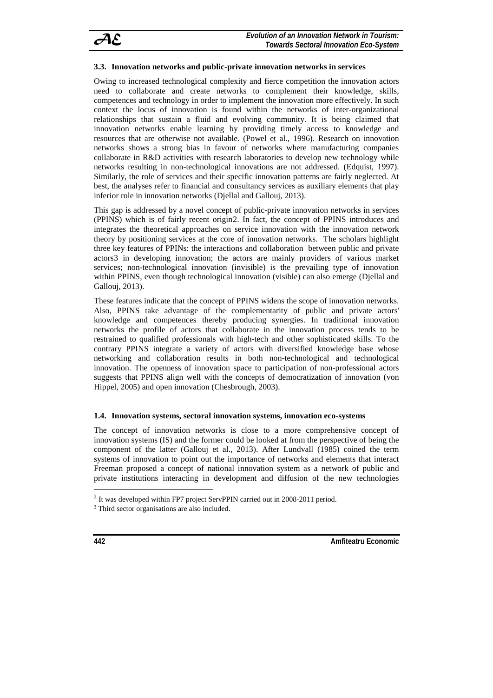

## **3.3. Innovation networks and public-private innovation networks in services**

Owing to increased technological complexity and fierce competition the innovation actors need to collaborate and create networks to complement their knowledge, skills, competences and technology in order to implement the innovation more effectively. In such context the locus of innovation is found within the networks of inter-organizational relationships that sustain a fluid and evolving community. It is being claimed that innovation networks enable learning by providing timely access to knowledge and resources that are otherwise not available. (Powel et al., 1996). Research on innovation networks shows a strong bias in favour of networks where manufacturing companies collaborate in R&D activities with research laboratories to develop new technology while networks resulting in non-technological innovations are not addressed. (Edquist, 1997). Similarly, the role of services and their specific innovation patterns are fairly neglected. At best, the analyses refer to financial and consultancy services as auxiliary elements that play inferior role in innovation networks (Djellal and Gallouj, 2013).

This gap is addressed by a novel concept of public-private innovation networks in services (PPINS) which is of fairly recent origin[2](#page-4-0). In fact, the concept of PPINS introduces and integrates the theoretical approaches on service innovation with the innovation network theory by positioning services at the core of innovation networks. The scholars highlight three key features of PPINs: the interactions and collaboration between public and private actors[3](#page-4-1) in developing innovation; the actors are mainly providers of various market services; non-technological innovation (invisible) is the prevailing type of innovation within PPINS, even though technological innovation (visible) can also emerge (Djellal and Gallouj, 2013).

These features indicate that the concept of PPINS widens the scope of innovation networks. Also, PPINS take advantage of the complementarity of public and private actors' knowledge and competences thereby producing synergies. In traditional innovation networks the profile of actors that collaborate in the innovation process tends to be restrained to qualified professionals with high-tech and other sophisticated skills. To the contrary PPINS integrate a variety of actors with diversified knowledge base whose networking and collaboration results in both non-technological and technological innovation. The openness of innovation space to participation of non-professional actors suggests that PPINS align well with the concepts of democratization of innovation (von Hippel, 2005) and open innovation (Chesbrough, 2003).

#### **1.4. Innovation systems, sectoral innovation systems, innovation eco-systems**

The concept of innovation networks is close to a more comprehensive concept of innovation systems (IS) and the former could be looked at from the perspective of being the component of the latter (Gallouj et al., 2013). After Lundvall (1985) coined the term systems of innovation to point out the importance of networks and elements that interact Freeman proposed a concept of national innovation system as a network of public and private institutions interacting in development and diffusion of the new technologies

<span id="page-4-0"></span><sup>&</sup>lt;sup>2</sup> It was developed within FP7 project ServPPIN carried out in 2008-2011 period.

<span id="page-4-1"></span><sup>&</sup>lt;sup>3</sup> Third sector organisations are also included.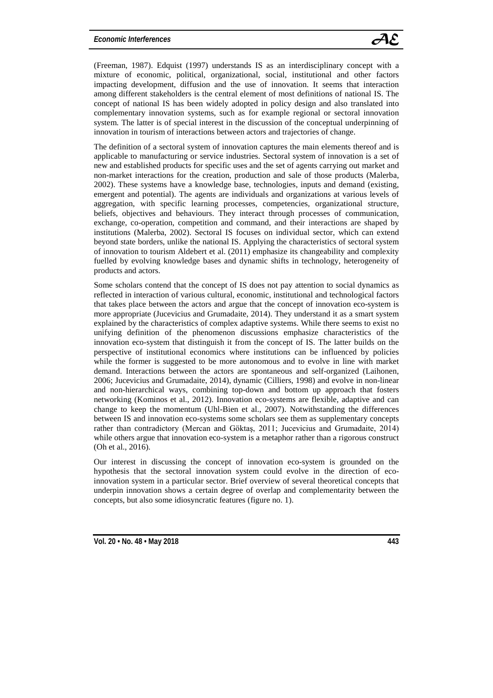#### $E$ *conomic Interferences*



(Freeman, 1987). Edquist (1997) understands IS as an interdisciplinary concept with a mixture of economic, political, organizational, social, institutional and other factors impacting development, diffusion and the use of innovation. It seems that interaction among different stakeholders is the central element of most definitions of national IS. The concept of national IS has been widely adopted in policy design and also translated into complementary innovation systems, such as for example regional or sectoral innovation system. The latter is of special interest in the discussion of the conceptual underpinning of innovation in tourism of interactions between actors and trajectories of change.

The definition of a sectoral system of innovation captures the main elements thereof and is applicable to manufacturing or service industries. Sectoral system of innovation is a set of new and established products for specific uses and the set of agents carrying out market and non-market interactions for the creation, production and sale of those products (Malerba, 2002). These systems have a knowledge base, technologies, inputs and demand (existing, emergent and potential). The agents are individuals and organizations at various levels of aggregation, with specific learning processes, competencies, organizational structure, beliefs, objectives and behaviours. They interact through processes of communication, exchange, co-operation, competition and command, and their interactions are shaped by institutions (Malerba, 2002). Sectoral IS focuses on individual sector, which can extend beyond state borders, unlike the national IS. Applying the characteristics of sectoral system of innovation to tourism Aldebert et al. (2011) emphasize its changeability and complexity fuelled by evolving knowledge bases and dynamic shifts in technology, heterogeneity of products and actors.

Some scholars contend that the concept of IS does not pay attention to social dynamics as reflected in interaction of various cultural, economic, institutional and technological factors that takes place between the actors and argue that the concept of innovation eco-system is more appropriate (Jucevicius and Grumadaite, 2014). They understand it as a smart system explained by the characteristics of complex adaptive systems. While there seems to exist no unifying definition of the phenomenon discussions emphasize characteristics of the innovation eco-system that distinguish it from the concept of IS. The latter builds on the perspective of institutional economics where institutions can be influenced by policies while the former is suggested to be more autonomous and to evolve in line with market demand. Interactions between the actors are spontaneous and self-organized (Laihonen, 2006; Jucevicius and Grumadaite, 2014), dynamic (Cilliers, 1998) and evolve in non-linear and non-hierarchical ways, combining top-down and bottom up approach that fosters networking (Kominos et al., 2012). Innovation eco-systems are flexible, adaptive and can change to keep the momentum (Uhl-Bien et al., 2007). Notwithstanding the differences between IS and innovation eco-systems some scholars see them as supplementary concepts rather than contradictory (Mercan and Göktaş, 2011; Jucevicius and Grumadaite, 2014) while others argue that innovation eco-system is a metaphor rather than a rigorous construct (Oh et al., 2016).

Our interest in discussing the concept of innovation eco-system is grounded on the hypothesis that the sectoral innovation system could evolve in the direction of ecoinnovation system in a particular sector. Brief overview of several theoretical concepts that underpin innovation shows a certain degree of overlap and complementarity between the concepts, but also some idiosyncratic features (figure no. 1).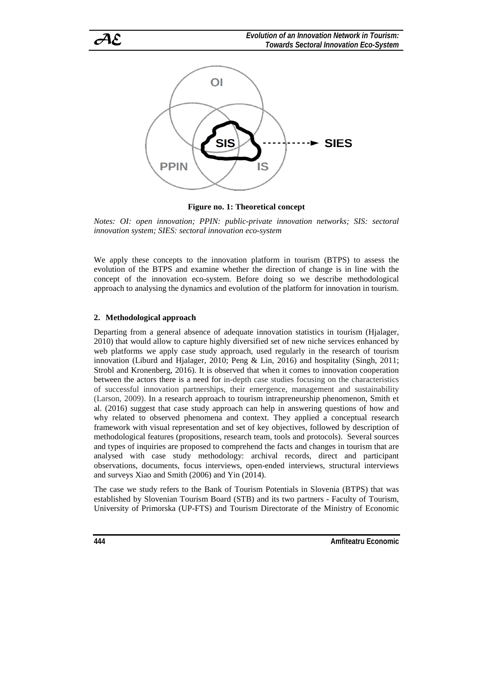

**Figure no. 1: Theoretical concept**

*Notes: OI: open innovation; PPIN: public-private innovation networks; SIS: sectoral innovation system; SIES: sectoral innovation eco-system*

We apply these concepts to the innovation platform in tourism (BTPS) to assess the evolution of the BTPS and examine whether the direction of change is in line with the concept of the innovation eco-system. Before doing so we describe methodological approach to analysing the dynamics and evolution of the platform for innovation in tourism.

# **2. Methodological approach**

Departing from a general absence of adequate innovation statistics in tourism (Hjalager, 2010) that would allow to capture highly diversified set of new niche services enhanced by web platforms we apply case study approach, used regularly in the research of tourism innovation (Liburd and Hjalager, 2010; Peng & Lin, 2016) and hospitality (Singh, 2011; Strobl and Kronenberg, 2016). It is observed that when it comes to innovation cooperation between the actors there is a need for in-depth case studies focusing on the characteristics of successful innovation partnerships, their emergence, management and sustainability (Larson, 2009). In a research approach to tourism intrapreneurship phenomenon, Smith et al. (2016) suggest that case study approach can help in answering questions of how and why related to observed phenomena and context. They applied a conceptual research framework with visual representation and set of key objectives, followed by description of methodological features (propositions, research team, tools and protocols). Several sources and types of inquiries are proposed to comprehend the facts and changes in tourism that are analysed with case study methodology: archival records, direct and participant observations, documents, focus interviews, open-ended interviews, structural interviews and surveys Xiao and Smith (2006) and Yin (2014).

The case we study refers to the Bank of Tourism Potentials in Slovenia (BTPS) that was established by Slovenian Tourism Board (STB) and its two partners - Faculty of Tourism, University of Primorska (UP-FTS) and Tourism Directorate of the Ministry of Economic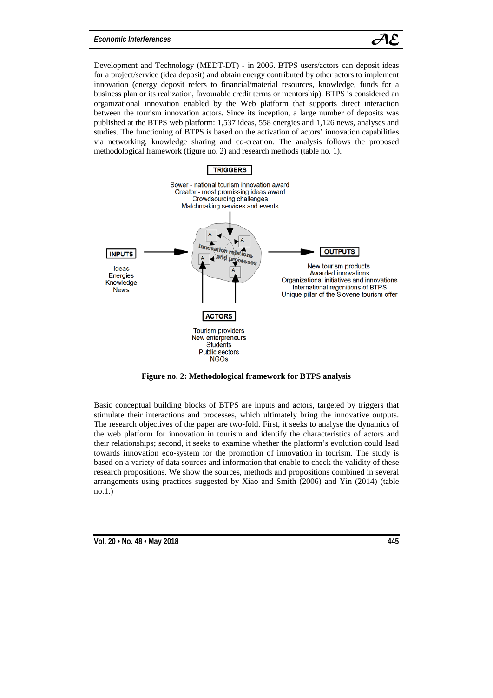#### $E$ *conomic Interferences*





**Figure no. 2: Methodological framework for BTPS analysis**

Basic conceptual building blocks of BTPS are inputs and actors, targeted by triggers that stimulate their interactions and processes, which ultimately bring the innovative outputs. The research objectives of the paper are two-fold. First, it seeks to analyse the dynamics of the web platform for innovation in tourism and identify the characteristics of actors and their relationships; second, it seeks to examine whether the platform's evolution could lead towards innovation eco-system for the promotion of innovation in tourism. The study is based on a variety of data sources and information that enable to check the validity of these research propositions. We show the sources, methods and propositions combined in several arrangements using practices suggested by Xiao and Smith (2006) and Yin (2014) (table no.1.)

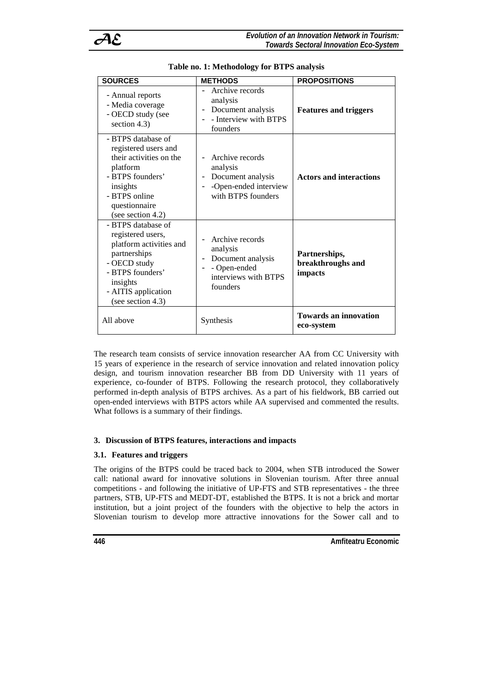| <b>SOURCES</b>                                                                                                                                                                 | <b>METHODS</b>                                                                                                            | <b>PROPOSITIONS</b>                           |
|--------------------------------------------------------------------------------------------------------------------------------------------------------------------------------|---------------------------------------------------------------------------------------------------------------------------|-----------------------------------------------|
| - Annual reports<br>- Media coverage<br>- OECD study (see<br>section 4.3)                                                                                                      | Archive records<br>analysis<br>Document analysis<br>$\overline{\phantom{0}}$<br>- Interview with BTPS<br>founders         | <b>Features and triggers</b>                  |
| - BTPS database of<br>registered users and<br>their activities on the<br>platform<br>- BTPS founders'<br>insights<br>- BTPS online<br>questionnaire<br>(see section 4.2)       | Archive records<br>analysis<br>Document analysis<br>-Open-ended interview<br>with BTPS founders                           | <b>Actors and interactions</b>                |
| - BTPS database of<br>registered users,<br>platform activities and<br>partnerships<br>- OECD study<br>- BTPS founders'<br>insights<br>- AITIS application<br>(see section 4.3) | Archive records<br>analysis<br>Document analysis<br>$\qquad \qquad -$<br>- Open-ended<br>interviews with BTPS<br>founders | Partnerships,<br>breakthroughs and<br>impacts |
| All above                                                                                                                                                                      | Synthesis                                                                                                                 | <b>Towards an innovation</b><br>eco-system    |

# **Table no. 1: Methodology for BTPS analysis**

The research team consists of service innovation researcher AA from CC University with 15 years of experience in the research of service innovation and related innovation policy design, and tourism innovation researcher BB from DD University with 11 years of experience, co-founder of BTPS. Following the research protocol, they collaboratively performed in-depth analysis of BTPS archives. As a part of his fieldwork, BB carried out open-ended interviews with BTPS actors while AA supervised and commented the results. What follows is a summary of their findings.

# **3. Discussion of BTPS features, interactions and impacts**

# **3.1. Features and triggers**

The origins of the BTPS could be traced back to 2004, when STB introduced the Sower call: national award for innovative solutions in Slovenian tourism. After three annual competitions - and following the initiative of UP-FTS and STB representatives - the three partners, STB, UP-FTS and MEDT-DT, established the BTPS. It is not a brick and mortar institution, but a joint project of the founders with the objective to help the actors in Slovenian tourism to develop more attractive innovations for the Sower call and to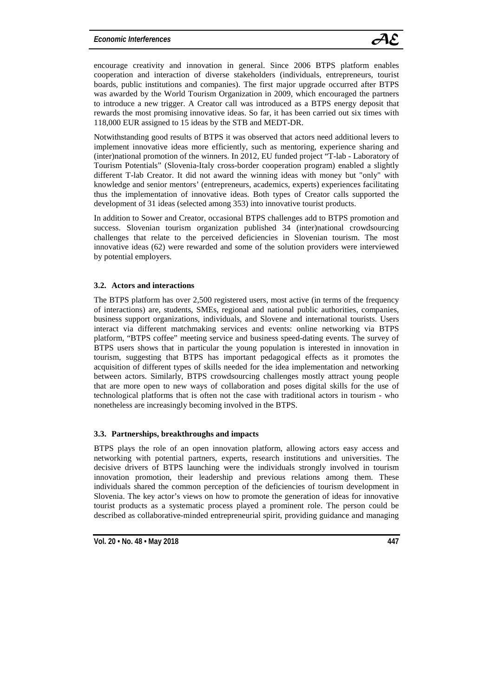

encourage creativity and innovation in general. Since 2006 BTPS platform enables cooperation and interaction of diverse stakeholders (individuals, entrepreneurs, tourist boards, public institutions and companies). The first major upgrade occurred after BTPS was awarded by the World Tourism Organization in 2009, which encouraged the partners to introduce a new trigger. A Creator call was introduced as a BTPS energy deposit that rewards the most promising innovative ideas. So far, it has been carried out six times with 118,000 EUR assigned to 15 ideas by the STB and MEDT-DR.

Notwithstanding good results of BTPS it was observed that actors need additional levers to implement innovative ideas more efficiently, such as mentoring, experience sharing and (inter)national promotion of the winners. In 2012, EU funded project "T-lab - Laboratory of Tourism Potentials" (Slovenia-Italy cross-border cooperation program) enabled a slightly different T-lab Creator. It did not award the winning ideas with money but "only" with knowledge and senior mentors' (entrepreneurs, academics, experts) experiences facilitating thus the implementation of innovative ideas. Both types of Creator calls supported the development of 31 ideas (selected among 353) into innovative tourist products.

In addition to Sower and Creator, occasional BTPS challenges add to BTPS promotion and success. Slovenian tourism organization published 34 (inter)national crowdsourcing challenges that relate to the perceived deficiencies in Slovenian tourism. The most innovative ideas (62) were rewarded and some of the solution providers were interviewed by potential employers.

#### **3.2. Actors and interactions**

The BTPS platform has over 2,500 registered users, most active (in terms of the frequency of interactions) are, students, SMEs, regional and national public authorities, companies, business support organizations, individuals, and Slovene and international tourists. Users interact via different matchmaking services and events: online networking via BTPS platform, "BTPS coffee" meeting service and business speed-dating events. The survey of BTPS users shows that in particular the young population is interested in innovation in tourism, suggesting that BTPS has important pedagogical effects as it promotes the acquisition of different types of skills needed for the idea implementation and networking between actors. Similarly, BTPS crowdsourcing challenges mostly attract young people that are more open to new ways of collaboration and poses digital skills for the use of technological platforms that is often not the case with traditional actors in tourism - who nonetheless are increasingly becoming involved in the BTPS.

## **3.3. Partnerships, breakthroughs and impacts**

BTPS plays the role of an open innovation platform, allowing actors easy access and networking with potential partners, experts, research institutions and universities. The decisive drivers of BTPS launching were the individuals strongly involved in tourism innovation promotion, their leadership and previous relations among them. These individuals shared the common perception of the deficiencies of tourism development in Slovenia. The key actor's views on how to promote the generation of ideas for innovative tourist products as a systematic process played a prominent role. The person could be described as collaborative-minded entrepreneurial spirit, providing guidance and managing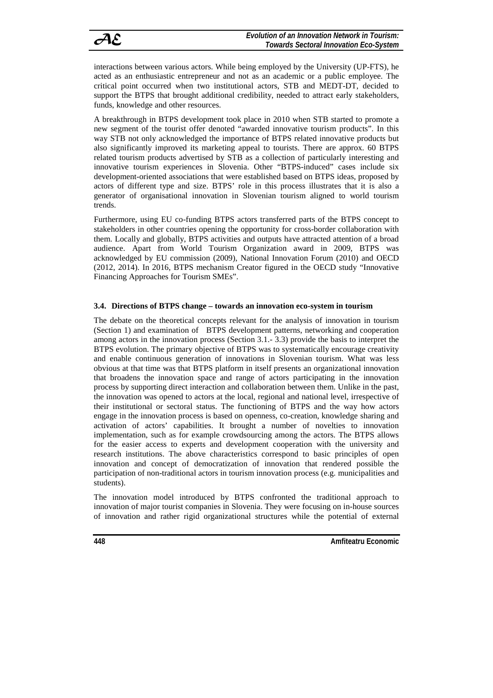interactions between various actors. While being employed by the University (UP-FTS), he acted as an enthusiastic entrepreneur and not as an academic or a public employee. The critical point occurred when two institutional actors, STB and MEDT-DT, decided to support the BTPS that brought additional credibility, needed to attract early stakeholders, funds, knowledge and other resources.

A breakthrough in BTPS development took place in 2010 when STB started to promote a new segment of the tourist offer denoted "awarded innovative tourism products". In this way STB not only acknowledged the importance of BTPS related innovative products but also significantly improved its marketing appeal to tourists. There are approx. 60 BTPS related tourism products advertised by STB as a collection of particularly interesting and innovative tourism experiences in Slovenia. Other "BTPS-induced" cases include six development-oriented associations that were established based on BTPS ideas, proposed by actors of different type and size. BTPS' role in this process illustrates that it is also a generator of organisational innovation in Slovenian tourism aligned to world tourism trends.

Furthermore, using EU co-funding BTPS actors transferred parts of the BTPS concept to stakeholders in other countries opening the opportunity for cross-border collaboration with them. Locally and globally, BTPS activities and outputs have attracted attention of a broad audience. Apart from World Tourism Organization award in 2009, BTPS was acknowledged by EU commission (2009), National Innovation Forum (2010) and OECD (2012, 2014). In 2016, BTPS mechanism Creator figured in the OECD study "Innovative Financing Approaches for Tourism SMEs".

## **3.4. Directions of BTPS change – towards an innovation eco-system in tourism**

The debate on the theoretical concepts relevant for the analysis of innovation in tourism (Section 1) and examination of BTPS development patterns, networking and cooperation among actors in the innovation process (Section 3.1.- 3.3) provide the basis to interpret the BTPS evolution. The primary objective of BTPS was to systematically encourage creativity and enable continuous generation of innovations in Slovenian tourism. What was less obvious at that time was that BTPS platform in itself presents an organizational innovation that broadens the innovation space and range of actors participating in the innovation process by supporting direct interaction and collaboration between them. Unlike in the past, the innovation was opened to actors at the local, regional and national level, irrespective of their institutional or sectoral status. The functioning of BTPS and the way how actors engage in the innovation process is based on openness, co-creation, knowledge sharing and activation of actors' capabilities. It brought a number of novelties to innovation implementation, such as for example crowdsourcing among the actors. The BTPS allows for the easier access to experts and development cooperation with the university and research institutions. The above characteristics correspond to basic principles of open innovation and concept of democratization of innovation that rendered possible the participation of non-traditional actors in tourism innovation process (e.g. municipalities and students).

The innovation model introduced by BTPS confronted the traditional approach to innovation of major tourist companies in Slovenia. They were focusing on in-house sources of innovation and rather rigid organizational structures while the potential of external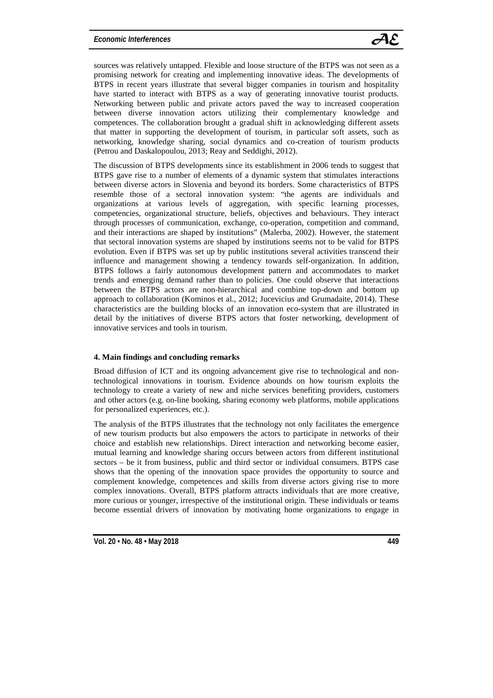#### $E$ *conomic Interferences*



sources was relatively untapped. Flexible and loose structure of the BTPS was not seen as a promising network for creating and implementing innovative ideas. The developments of BTPS in recent years illustrate that several bigger companies in tourism and hospitality have started to interact with BTPS as a way of generating innovative tourist products. Networking between public and private actors paved the way to increased cooperation between diverse innovation actors utilizing their complementary knowledge and competences. The collaboration brought a gradual shift in acknowledging different assets that matter in supporting the development of tourism, in particular soft assets, such as networking, knowledge sharing, social dynamics and co-creation of tourism products (Petrou and Daskalopoulou, 2013; Reay and Seddighi, 2012).

The discussion of BTPS developments since its establishment in 2006 tends to suggest that BTPS gave rise to a number of elements of a dynamic system that stimulates interactions between diverse actors in Slovenia and beyond its borders. Some characteristics of BTPS resemble those of a sectoral innovation system: "the agents are individuals and organizations at various levels of aggregation, with specific learning processes, competencies, organizational structure, beliefs, objectives and behaviours. They interact through processes of communication, exchange, co-operation, competition and command, and their interactions are shaped by institutions" (Malerba, 2002). However, the statement that sectoral innovation systems are shaped by institutions seems not to be valid for BTPS evolution. Even if BTPS was set up by public institutions several activities transcend their influence and management showing a tendency towards self-organization. In addition, BTPS follows a fairly autonomous development pattern and accommodates to market trends and emerging demand rather than to policies. One could observe that interactions between the BTPS actors are non-hierarchical and combine top-down and bottom up approach to collaboration (Kominos et al., 2012; Jucevicius and Grumadaite, 2014). These characteristics are the building blocks of an innovation eco-system that are illustrated in detail by the initiatives of diverse BTPS actors that foster networking, development of innovative services and tools in tourism.

## **4. Main findings and concluding remarks**

Broad diffusion of ICT and its ongoing advancement give rise to technological and nontechnological innovations in tourism. Evidence abounds on how tourism exploits the technology to create a variety of new and niche services benefiting providers, customers and other actors (e.g. on-line booking, sharing economy web platforms, mobile applications for personalized experiences, etc.).

The analysis of the BTPS illustrates that the technology not only facilitates the emergence of new tourism products but also empowers the actors to participate in networks of their choice and establish new relationships. Direct interaction and networking become easier, mutual learning and knowledge sharing occurs between actors from different institutional sectors – be it from business, public and third sector or individual consumers. BTPS case shows that the opening of the innovation space provides the opportunity to source and complement knowledge, competences and skills from diverse actors giving rise to more complex innovations. Overall, BTPS platform attracts individuals that are more creative, more curious or younger, irrespective of the institutional origin. These individuals or teams become essential drivers of innovation by motivating home organizations to engage in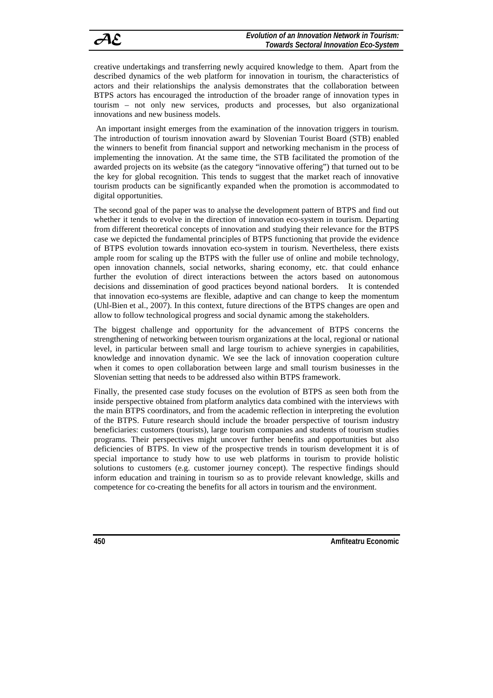creative undertakings and transferring newly acquired knowledge to them. Apart from the described dynamics of the web platform for innovation in tourism, the characteristics of actors and their relationships the analysis demonstrates that the collaboration between BTPS actors has encouraged the introduction of the broader range of innovation types in tourism – not only new services, products and processes, but also organizational innovations and new business models.

An important insight emerges from the examination of the innovation triggers in tourism. The introduction of tourism innovation award by Slovenian Tourist Board (STB) enabled the winners to benefit from financial support and networking mechanism in the process of implementing the innovation. At the same time, the STB facilitated the promotion of the awarded projects on its website (as the category "innovative offering") that turned out to be the key for global recognition. This tends to suggest that the market reach of innovative tourism products can be significantly expanded when the promotion is accommodated to digital opportunities.

The second goal of the paper was to analyse the development pattern of BTPS and find out whether it tends to evolve in the direction of innovation eco-system in tourism. Departing from different theoretical concepts of innovation and studying their relevance for the BTPS case we depicted the fundamental principles of BTPS functioning that provide the evidence of BTPS evolution towards innovation eco-system in tourism. Nevertheless, there exists ample room for scaling up the BTPS with the fuller use of online and mobile technology, open innovation channels, social networks, sharing economy, etc. that could enhance further the evolution of direct interactions between the actors based on autonomous decisions and dissemination of good practices beyond national borders. It is contended that innovation eco-systems are flexible, adaptive and can change to keep the momentum (Uhl-Bien et al., 2007). In this context, future directions of the BTPS changes are open and allow to follow technological progress and social dynamic among the stakeholders.

The biggest challenge and opportunity for the advancement of BTPS concerns the strengthening of networking between tourism organizations at the local, regional or national level, in particular between small and large tourism to achieve synergies in capabilities, knowledge and innovation dynamic. We see the lack of innovation cooperation culture when it comes to open collaboration between large and small tourism businesses in the Slovenian setting that needs to be addressed also within BTPS framework.

Finally, the presented case study focuses on the evolution of BTPS as seen both from the inside perspective obtained from platform analytics data combined with the interviews with the main BTPS coordinators, and from the academic reflection in interpreting the evolution of the BTPS. Future research should include the broader perspective of tourism industry beneficiaries: customers (tourists), large tourism companies and students of tourism studies programs. Their perspectives might uncover further benefits and opportunities but also deficiencies of BTPS. In view of the prospective trends in tourism development it is of special importance to study how to use web platforms in tourism to provide holistic solutions to customers (e.g. customer journey concept). The respective findings should inform education and training in tourism so as to provide relevant knowledge, skills and competence for co-creating the benefits for all actors in tourism and the environment.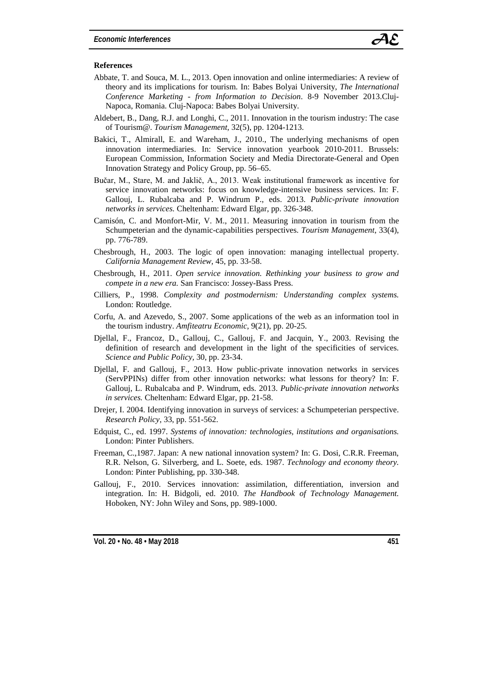

#### **References**

- Abbate, T. and Souca, M. L., 2013. Open innovation and online intermediaries: A review of theory and its implications for tourism. In: Babes Bolyai University, *The International Conference Marketing - from Information to Decision*. 8-9 November 2013.Cluj-Napoca, Romania. Cluj-Napoca: Babes Bolyai University.
- Aldebert, B., Dang, R.J. and Longhi, C., 2011. Innovation in the tourism industry: The case of Tourism@. *Tourism Management,* 32(5), pp. 1204-1213.
- Bakici, T., Almirall, E. and Wareham, J., 2010., The underlying mechanisms of open innovation intermediaries. In: Service innovation yearbook 2010-2011. Brussels: European Commission, Information Society and Media Directorate-General and Open Innovation Strategy and Policy Group, pp. 56–65.
- Bučar, M., Stare, M. and Jaklič, A., 2013. Weak institutional framework as incentive for service innovation networks: focus on knowledge-intensive business services. In: F. Gallouj, L. Rubalcaba and P. Windrum P., eds. 2013. *Public-private innovation networks in services.* Cheltenham: Edward Elgar, pp. 326-348.
- Camisón, C. and Monfort-Mir, V. M., 2011. Measuring innovation in tourism from the Schumpeterian and the dynamic-capabilities perspectives. *Tourism Management*, 33(4), pp. 776-789.
- Chesbrough, H., 2003. The logic of open innovation: managing intellectual property. *California Management Review*, 45, pp. 33-58.
- Chesbrough, H., 2011. *Open service innovation. Rethinking your business to grow and compete in a new era.* San Francisco: Jossey-Bass Press.
- Cilliers, P., 1998. *Complexity and postmodernism: Understanding complex systems.* London: Routledge.
- Corfu, A. and Azevedo, S., 2007. Some applications of the web as an information tool in the tourism industry. *Amfiteatru Economic*, 9(21), pp. 20-25.
- Djellal, F., Francoz, D., Gallouj, C., Gallouj, F. and Jacquin, Y., 2003. Revising the definition of research and development in the light of the specificities of services. *Science and Public Policy,* 30, pp. 23-34.
- Djellal, F. and Gallouj, F., 2013. How public-private innovation networks in services (ServPPINs) differ from other innovation networks: what lessons for theory? In: F. Gallouj, L. Rubalcaba and P. Windrum, eds. 2013. *Public-private innovation networks in services.* Cheltenham: Edward Elgar, pp. 21-58.
- Drejer, I. 2004. Identifying innovation in surveys of services: a Schumpeterian perspective. *Research Policy*, 33, pp. 551-562.
- Edquist, C., ed. 1997. *Systems of innovation: technologies, institutions and organisations.*  London: Pinter Publishers.
- Freeman, C.,1987. Japan: A new national innovation system? In: G. Dosi, C.R.R. Freeman, R.R. Nelson, G. Silverberg, and L. Soete, eds. 1987. *Technology and economy theory.* London: Pinter Publishing, pp. 330-348.
- Gallouj, F., 2010. Services innovation: assimilation, differentiation, inversion and integration. In: H. Bidgoli, ed. 2010. *The Handbook of Technology Management.* Hoboken, NY: John Wiley and Sons, pp. 989-1000.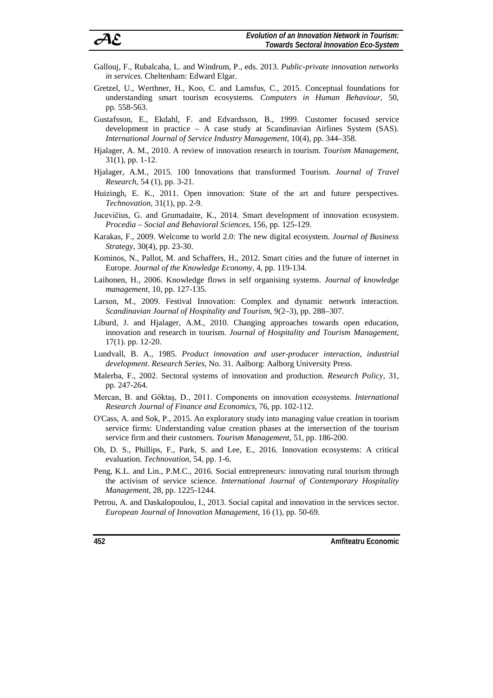#### *AE Evolution of an Innovation Network in Tourism: Towards Sectoral Innovation Eco-System*

- Gallouj, F., Rubalcaba, L. and Windrum, P., eds. 2013. *Public-private innovation networks in services.* Cheltenham: Edward Elgar.
- Gretzel, U., Werthner, H., Koo, C. and Lamsfus, C., 2015. Conceptual foundations for understanding smart tourism ecosystems. *Computers in Human Behaviour*, 50, pp. 558-563.
- Gustafsson, E., Ekdahl, F. and Edvardsson, B., 1999. Customer focused service development in practice – A case study at Scandinavian Airlines System (SAS). *International Journal of Service Industry Management,* 10(4), pp. 344–358.
- Hjalager, A. M., 2010. A review of innovation research in tourism. *Tourism Management*, 31(1), pp. 1-12.
- Hjalager, A.M., 2015. 100 Innovations that transformed Tourism. *Journal of Travel Research,* 54 (1), pp. 3-21.
- Huizingh, E. K., 2011. Open innovation: State of the art and future perspectives. *Technovation*, 31(1), pp. 2-9.
- Jucevičius, G. and Grumadaite, K., 2014. Smart development of innovation ecosystem. *Procedia – Social and Behavioral Sciences*, 156, pp. 125-129.
- Karakas, F., 2009. Welcome to world 2.0: The new digital ecosystem. *Journal of Business Strategy*, 30(4), pp. 23-30.
- Kominos, N., Pallot, M. and Schaffers, H., 2012. Smart cities and the future of internet in Europe. *Journal of the Knowledge Economy*, 4, pp. 119-134.
- Laihonen, H., 2006. Knowledge flows in self organising systems. *Journal of knowledge management*, 10, pp. 127-135.
- Larson, M., 2009. Festival Innovation: Complex and dynamic network interaction. *Scandinavian Journal of Hospitality and Tourism*, 9(2–3), pp. 288–307.
- Liburd, J. and Hjalager, A.M., 2010. Changing approaches towards open education, innovation and research in tourism. *Journal of Hospitality and Tourism Management*, 17(1). pp. 12-20.
- Lundvall, B. A., 1985. *Product innovation and user-producer interaction, industrial development. Research Series*, No. 31. Aalborg: Aalborg University Press.
- Malerba, F., 2002. Sectoral systems of innovation and production. *Research Policy*, 31, pp. 247-264.
- Mercan, B. and Göktaş, D., 2011. Components on innovation ecosystems. *International Research Journal of Finance and Economics*, 76, pp. 102-112.
- O'Cass, A. and Sok, P., 2015. An exploratory study into managing value creation in tourism service firms: Understanding value creation phases at the intersection of the tourism service firm and their customers. *Tourism Management,* 51, pp. 186-200.
- Oh, D. S., Phillips, F., Park, S. and Lee, E., 2016. Innovation ecosystems: A critical evaluation. *Technovation,* 54, pp. 1-6.
- Peng, K.L. and Lin., P.M.C., 2016. Social entrepreneurs: innovating rural tourism through the activism of service science. *International Journal of Contemporary Hospitality Management*, 28, pp. 1225-1244.
- Petrou, A. and Daskalopoulou, I., 2013. Social capital and innovation in the services sector. *European Journal of Innovation Management*, 16 (1), pp. 50-69.